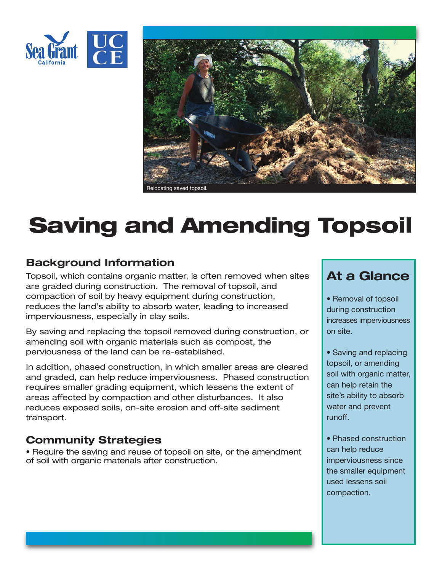



# **Saving and Amending Topsoil**

## **Background Information**

Topsoil, which contains organic matter, is often removed when sites are graded during construction. The removal of topsoil, and compaction of soil by heavy equipment during construction, reduces the land's ability to absorb water, leading to increased imperviousness, especially in clay soils.

By saving and replacing the topsoil removed during construction, or amending soil with organic materials such as compost, the perviousness of the land can be re-established.

In addition, phased construction, in which smaller areas are cleared and graded, can help reduce imperviousness. Phased construction requires smaller grading equipment, which lessens the extent of areas affected by compaction and other disturbances. It also reduces exposed soils, on-site erosion and off-site sediment transport.

## **Community Strategies**

• Require the saving and reuse of topsoil on site, or the amendment of soil with organic materials after construction.

# **At a Glance**

- Removal of topsoil during construction increases imperviousness on site.
- Saving and replacing topsoil, or amending soil with organic matter, can help retain the site's ability to absorb water and prevent runoff.
- Phased construction can help reduce imperviousness since the smaller equipment used lessens soil compaction.